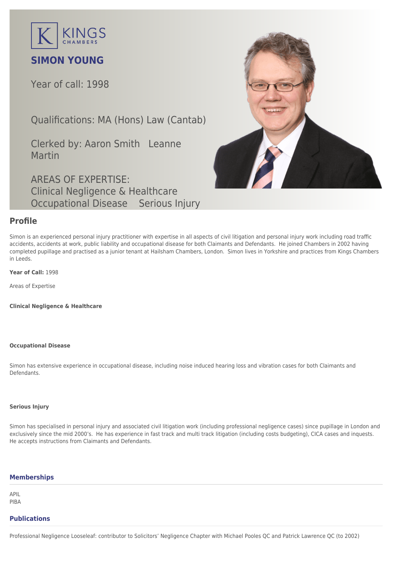

# **SIMON YOUNG**

Year of call: 1998

Qualifications: MA (Hons) Law (Cantab)

Clerked by: [Aaron Smith](mailto:asmith@kingschambers.com) [Leanne](mailto:leanne.martin@kingschambers.com) [Martin](mailto:leanne.martin@kingschambers.com)

AREAS OF EXPERTISE: Clinical Negligence & Healthcare Occupational Disease Serious Injury



### **Profile**

Simon is an experienced [personal injury](https://www.kingschambers.com/connectors/areas-of-expertise/personal-injury-and-clinical-negligence-team/serious-injury/) practitioner with expertise in all aspects of civil litigation and personal injury work including road traffic accidents, accidents at work, public liability and [occupational disease](https://www.kingschambers.com/connectors/areas-of-expertise/personal-injury-and-clinical-negligence-team/occupational-disease/) for both Claimants and Defendants. He joined Chambers in 2002 having completed pupillage and practised as a junior tenant at Hailsham Chambers, London. Simon lives in Yorkshire and practices from Kings Chambers in Leeds.

**Year of Call:** 1998

Areas of Expertise

**[Clinical Negligence & Healthcare](#page--1-0)**

#### **[Occupational Disease](#page--1-0)**

Simon has extensive experience in occupational disease, including noise induced hearing loss and vibration cases for both Claimants and Defendants.

#### **[Serious Injury](#page--1-0)**

Simon has specialised in personal injury and associated civil litigation work (including professional negligence cases) since pupillage in London and exclusively since the mid 2000's. He has experience in fast track and multi track litigation (including costs budgeting), CICA cases and inquests. He accepts instructions from Claimants and Defendants.

#### **Memberships**

APIL PIBA

#### **Publications**

Professional Negligence Looseleaf: contributor to Solicitors' Negligence Chapter with Michael Pooles QC and Patrick Lawrence QC (to 2002)